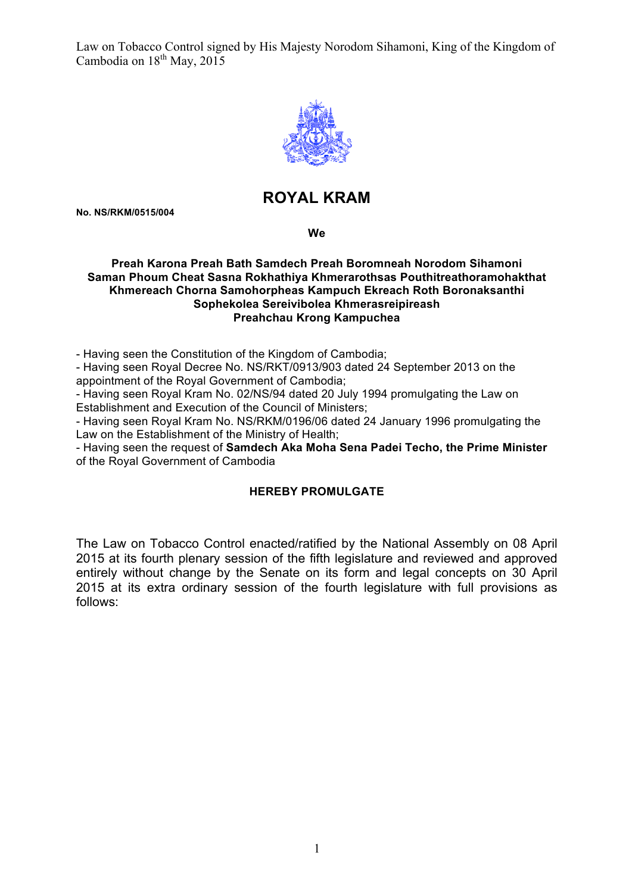

# **ROYAL KRAM**

**No. NS/RKM/0515/004**

**We**

#### **Preah Karona Preah Bath Samdech Preah Boromneah Norodom Sihamoni Saman Phoum Cheat Sasna Rokhathiya Khmerarothsas Pouthitreathoramohakthat Khmereach Chorna Samohorpheas Kampuch Ekreach Roth Boronaksanthi Sophekolea Sereivibolea Khmerasreipireash Preahchau Krong Kampuchea**

- Having seen the Constitution of the Kingdom of Cambodia;

- Having seen Royal Decree No. NS/RKT/0913/903 dated 24 September 2013 on the appointment of the Royal Government of Cambodia;

- Having seen Royal Kram No. 02/NS/94 dated 20 July 1994 promulgating the Law on Establishment and Execution of the Council of Ministers;

- Having seen Royal Kram No. NS/RKM/0196/06 dated 24 January 1996 promulgating the Law on the Establishment of the Ministry of Health;

- Having seen the request of **Samdech Aka Moha Sena Padei Techo, the Prime Minister**  of the Royal Government of Cambodia

# **HEREBY PROMULGATE**

The Law on Tobacco Control enacted/ratified by the National Assembly on 08 April 2015 at its fourth plenary session of the fifth legislature and reviewed and approved entirely without change by the Senate on its form and legal concepts on 30 April 2015 at its extra ordinary session of the fourth legislature with full provisions as follows: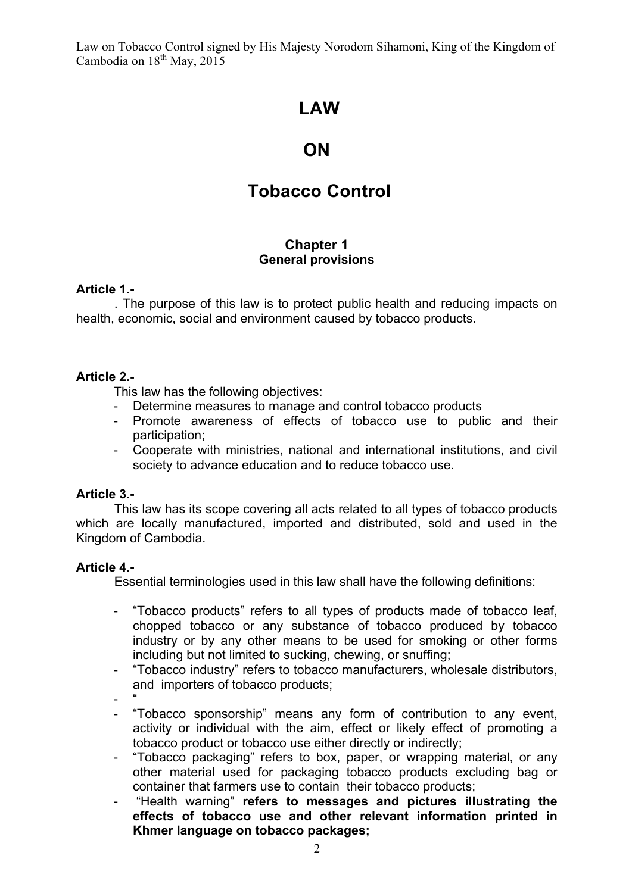# **LAW**

# **ON**

# **Tobacco Control**

# **Chapter 1 General provisions**

# **Article 1.-**

. The purpose of this law is to protect public health and reducing impacts on health, economic, social and environment caused by tobacco products.

# **Article 2.-**

This law has the following objectives:

- Determine measures to manage and control tobacco products
- Promote awareness of effects of tobacco use to public and their participation;
- Cooperate with ministries, national and international institutions, and civil society to advance education and to reduce tobacco use.

# **Article 3.-**

This law has its scope covering all acts related to all types of tobacco products which are locally manufactured, imported and distributed, sold and used in the Kingdom of Cambodia.

# **Article 4.-**

Essential terminologies used in this law shall have the following definitions:

- "Tobacco products" refers to all types of products made of tobacco leaf, chopped tobacco or any substance of tobacco produced by tobacco industry or by any other means to be used for smoking or other forms including but not limited to sucking, chewing, or snuffing;
- "Tobacco industry" refers to tobacco manufacturers, wholesale distributors, and importers of tobacco products;
- "
- "Tobacco sponsorship" means any form of contribution to any event, activity or individual with the aim, effect or likely effect of promoting a tobacco product or tobacco use either directly or indirectly;
- "Tobacco packaging" refers to box, paper, or wrapping material, or any other material used for packaging tobacco products excluding bag or container that farmers use to contain their tobacco products;
- "Health warning" **refers to messages and pictures illustrating the effects of tobacco use and other relevant information printed in Khmer language on tobacco packages;**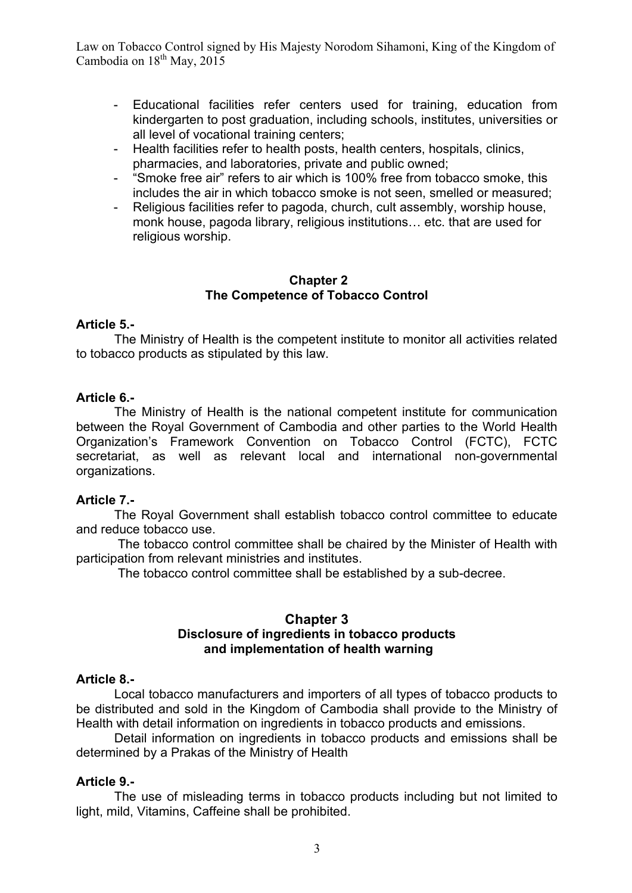- Educational facilities refer centers used for training, education from kindergarten to post graduation, including schools, institutes, universities or all level of vocational training centers;
- Health facilities refer to health posts, health centers, hospitals, clinics, pharmacies, and laboratories, private and public owned;
- "Smoke free air" refers to air which is 100% free from tobacco smoke, this includes the air in which tobacco smoke is not seen, smelled or measured;
- Religious facilities refer to pagoda, church, cult assembly, worship house, monk house, pagoda library, religious institutions… etc. that are used for religious worship.

### **Chapter 2 The Competence of Tobacco Control**

### **Article 5.-**

The Ministry of Health is the competent institute to monitor all activities related to tobacco products as stipulated by this law.

### **Article 6.-**

The Ministry of Health is the national competent institute for communication between the Royal Government of Cambodia and other parties to the World Health Organization's Framework Convention on Tobacco Control (FCTC), FCTC secretariat, as well as relevant local and international non-governmental organizations.

# **Article 7.-**

The Royal Government shall establish tobacco control committee to educate and reduce tobacco use.

The tobacco control committee shall be chaired by the Minister of Health with participation from relevant ministries and institutes.

The tobacco control committee shall be established by a sub-decree.

## **Chapter 3 Disclosure of ingredients in tobacco products and implementation of health warning**

#### **Article 8.-**

Local tobacco manufacturers and importers of all types of tobacco products to be distributed and sold in the Kingdom of Cambodia shall provide to the Ministry of Health with detail information on ingredients in tobacco products and emissions.

Detail information on ingredients in tobacco products and emissions shall be determined by a Prakas of the Ministry of Health

# **Article 9.-**

The use of misleading terms in tobacco products including but not limited to light, mild, Vitamins, Caffeine shall be prohibited.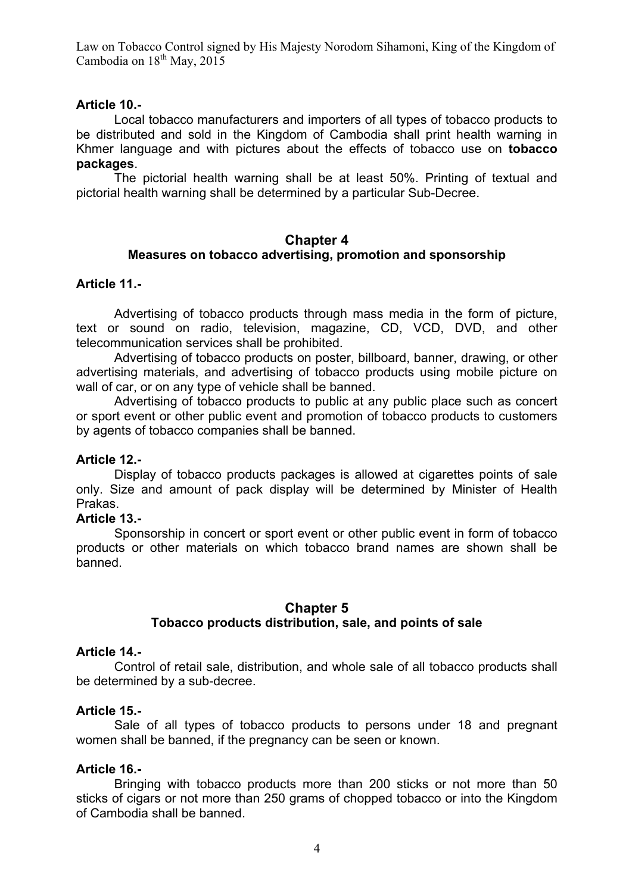# **Article 10.-**

Local tobacco manufacturers and importers of all types of tobacco products to be distributed and sold in the Kingdom of Cambodia shall print health warning in Khmer language and with pictures about the effects of tobacco use on **tobacco packages**.

The pictorial health warning shall be at least 50%. Printing of textual and pictorial health warning shall be determined by a particular Sub-Decree.

### **Chapter 4 Measures on tobacco advertising, promotion and sponsorship**

# **Article 11.-**

Advertising of tobacco products through mass media in the form of picture, text or sound on radio, television, magazine, CD, VCD, DVD, and other telecommunication services shall be prohibited.

Advertising of tobacco products on poster, billboard, banner, drawing, or other advertising materials, and advertising of tobacco products using mobile picture on wall of car, or on any type of vehicle shall be banned.

Advertising of tobacco products to public at any public place such as concert or sport event or other public event and promotion of tobacco products to customers by agents of tobacco companies shall be banned.

# **Article 12.-**

Display of tobacco products packages is allowed at cigarettes points of sale only. Size and amount of pack display will be determined by Minister of Health Prakas.

# **Article 13.-**

Sponsorship in concert or sport event or other public event in form of tobacco products or other materials on which tobacco brand names are shown shall be banned.

# **Chapter 5 Tobacco products distribution, sale, and points of sale**

# **Article 14.-**

Control of retail sale, distribution, and whole sale of all tobacco products shall be determined by a sub-decree.

# **Article 15.-**

Sale of all types of tobacco products to persons under 18 and pregnant women shall be banned, if the pregnancy can be seen or known.

# **Article 16.-**

Bringing with tobacco products more than 200 sticks or not more than 50 sticks of cigars or not more than 250 grams of chopped tobacco or into the Kingdom of Cambodia shall be banned.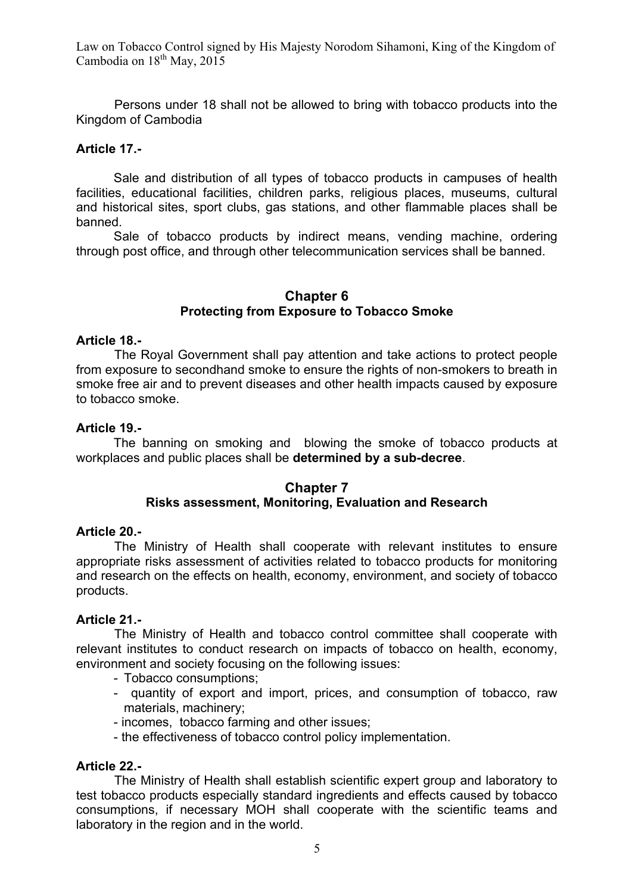Persons under 18 shall not be allowed to bring with tobacco products into the Kingdom of Cambodia

# **Article 17.-**

Sale and distribution of all types of tobacco products in campuses of health facilities, educational facilities, children parks, religious places, museums, cultural and historical sites, sport clubs, gas stations, and other flammable places shall be banned.

Sale of tobacco products by indirect means, vending machine, ordering through post office, and through other telecommunication services shall be banned.

### **Chapter 6 Protecting from Exposure to Tobacco Smoke**

#### **Article 18.-**

The Royal Government shall pay attention and take actions to protect people from exposure to secondhand smoke to ensure the rights of non-smokers to breath in smoke free air and to prevent diseases and other health impacts caused by exposure to tobacco smoke.

#### **Article 19.-**

The banning on smoking and blowing the smoke of tobacco products at workplaces and public places shall be **determined by a sub-decree**.

## **Chapter 7 Risks assessment, Monitoring, Evaluation and Research**

#### **Article 20.-**

The Ministry of Health shall cooperate with relevant institutes to ensure appropriate risks assessment of activities related to tobacco products for monitoring and research on the effects on health, economy, environment, and society of tobacco products.

#### **Article 21.-**

The Ministry of Health and tobacco control committee shall cooperate with relevant institutes to conduct research on impacts of tobacco on health, economy, environment and society focusing on the following issues:

- Tobacco consumptions;
- quantity of export and import, prices, and consumption of tobacco, raw materials, machinery;
- incomes, tobacco farming and other issues;
- the effectiveness of tobacco control policy implementation.

#### **Article 22.-**

The Ministry of Health shall establish scientific expert group and laboratory to test tobacco products especially standard ingredients and effects caused by tobacco consumptions, if necessary MOH shall cooperate with the scientific teams and laboratory in the region and in the world.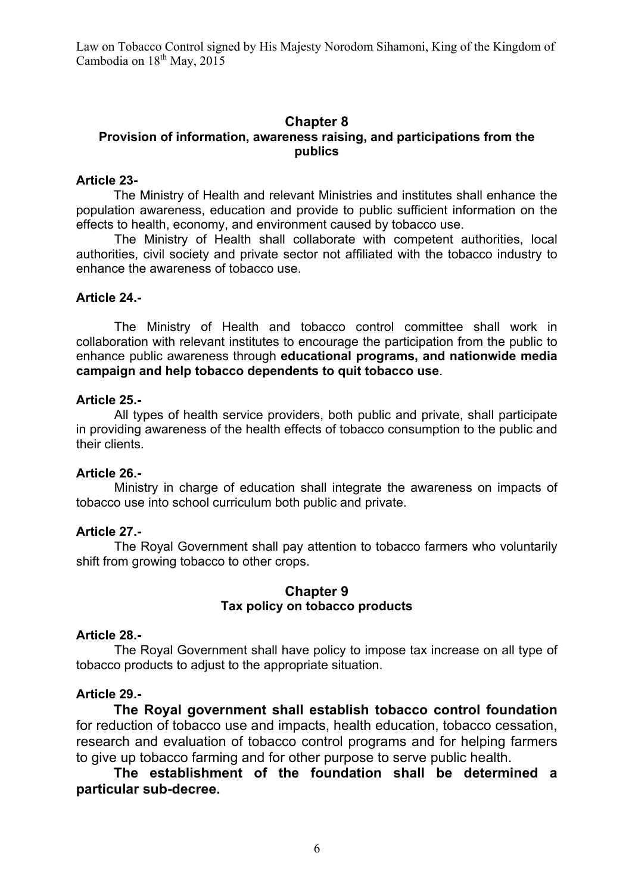# **Chapter 8**

# **Provision of information, awareness raising, and participations from the publics**

## **Article 23-**

The Ministry of Health and relevant Ministries and institutes shall enhance the population awareness, education and provide to public sufficient information on the effects to health, economy, and environment caused by tobacco use.

The Ministry of Health shall collaborate with competent authorities, local authorities, civil society and private sector not affiliated with the tobacco industry to enhance the awareness of tobacco use.

# **Article 24.-**

The Ministry of Health and tobacco control committee shall work in collaboration with relevant institutes to encourage the participation from the public to enhance public awareness through **educational programs, and nationwide media campaign and help tobacco dependents to quit tobacco use**.

### **Article 25.-**

All types of health service providers, both public and private, shall participate in providing awareness of the health effects of tobacco consumption to the public and their clients.

# **Article 26.-**

Ministry in charge of education shall integrate the awareness on impacts of tobacco use into school curriculum both public and private.

# **Article 27.-**

The Royal Government shall pay attention to tobacco farmers who voluntarily shift from growing tobacco to other crops.

# **Chapter 9 Tax policy on tobacco products**

#### **Article 28.-**

The Royal Government shall have policy to impose tax increase on all type of tobacco products to adjust to the appropriate situation.

# **Article 29.-**

**The Royal government shall establish tobacco control foundation** for reduction of tobacco use and impacts, health education, tobacco cessation, research and evaluation of tobacco control programs and for helping farmers to give up tobacco farming and for other purpose to serve public health.

# **The establishment of the foundation shall be determined a particular sub-decree.**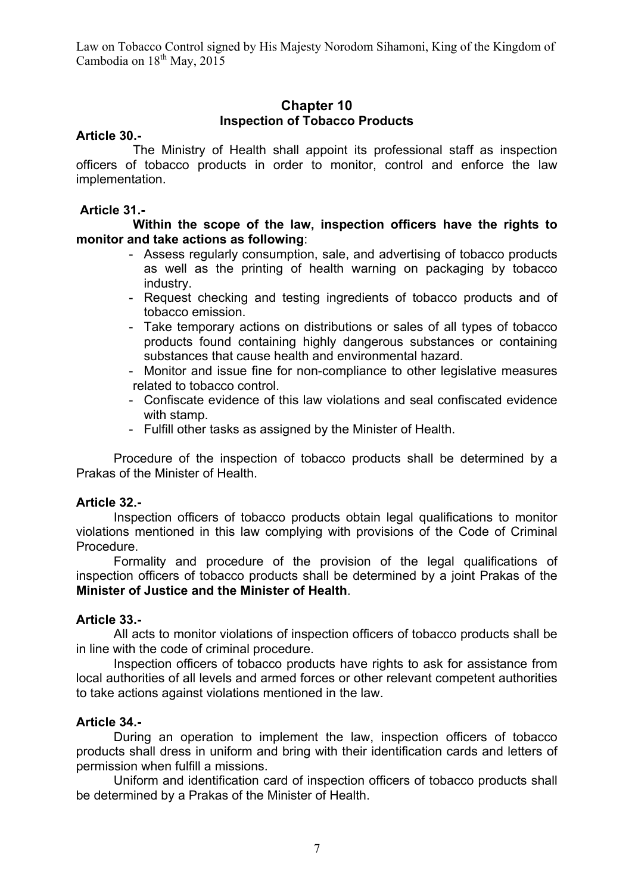# **Chapter 10 Inspection of Tobacco Products**

## **Article 30.-**

The Ministry of Health shall appoint its professional staff as inspection officers of tobacco products in order to monitor, control and enforce the law implementation.

# **Article 31.-**

**Within the scope of the law, inspection officers have the rights to monitor and take actions as following**:

- Assess regularly consumption, sale, and advertising of tobacco products as well as the printing of health warning on packaging by tobacco industry.
- Request checking and testing ingredients of tobacco products and of tobacco emission.
- Take temporary actions on distributions or sales of all types of tobacco products found containing highly dangerous substances or containing substances that cause health and environmental hazard.
- Monitor and issue fine for non-compliance to other legislative measures related to tobacco control.
- Confiscate evidence of this law violations and seal confiscated evidence with stamp.
- Fulfill other tasks as assigned by the Minister of Health.

Procedure of the inspection of tobacco products shall be determined by a Prakas of the Minister of Health.

#### **Article 32.-**

Inspection officers of tobacco products obtain legal qualifications to monitor violations mentioned in this law complying with provisions of the Code of Criminal Procedure.

Formality and procedure of the provision of the legal qualifications of inspection officers of tobacco products shall be determined by a joint Prakas of the **Minister of Justice and the Minister of Health**.

#### **Article 33.-**

All acts to monitor violations of inspection officers of tobacco products shall be in line with the code of criminal procedure.

Inspection officers of tobacco products have rights to ask for assistance from local authorities of all levels and armed forces or other relevant competent authorities to take actions against violations mentioned in the law.

#### **Article 34.-**

During an operation to implement the law, inspection officers of tobacco products shall dress in uniform and bring with their identification cards and letters of permission when fulfill a missions.

Uniform and identification card of inspection officers of tobacco products shall be determined by a Prakas of the Minister of Health.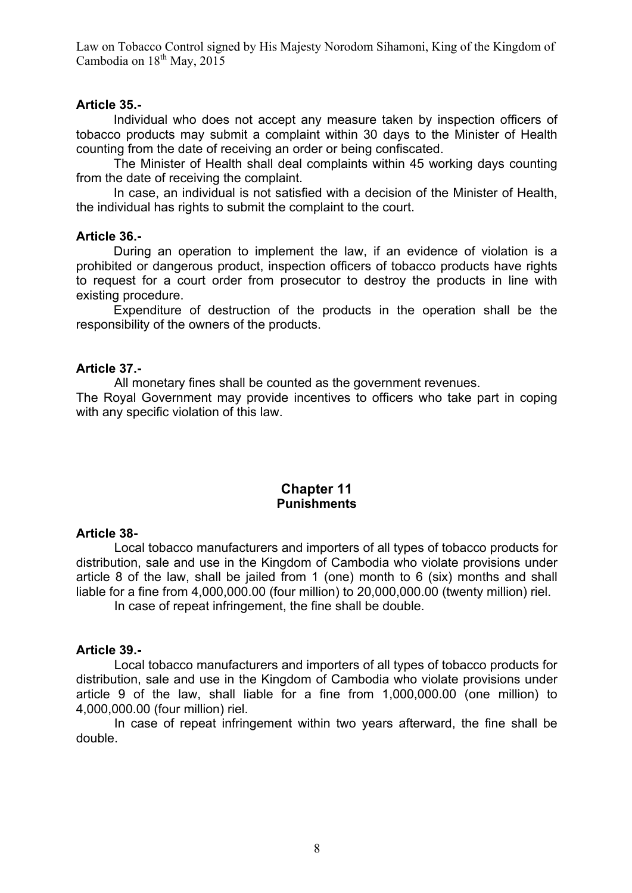# **Article 35.-**

Individual who does not accept any measure taken by inspection officers of tobacco products may submit a complaint within 30 days to the Minister of Health counting from the date of receiving an order or being confiscated.

The Minister of Health shall deal complaints within 45 working days counting from the date of receiving the complaint.

In case, an individual is not satisfied with a decision of the Minister of Health, the individual has rights to submit the complaint to the court.

### **Article 36.-**

During an operation to implement the law, if an evidence of violation is a prohibited or dangerous product, inspection officers of tobacco products have rights to request for a court order from prosecutor to destroy the products in line with existing procedure.

Expenditure of destruction of the products in the operation shall be the responsibility of the owners of the products.

# **Article 37.-**

All monetary fines shall be counted as the government revenues.

The Royal Government may provide incentives to officers who take part in coping with any specific violation of this law.

# **Chapter 11 Punishments**

#### **Article 38-**

Local tobacco manufacturers and importers of all types of tobacco products for distribution, sale and use in the Kingdom of Cambodia who violate provisions under article 8 of the law, shall be jailed from 1 (one) month to 6 (six) months and shall liable for a fine from 4,000,000.00 (four million) to 20,000,000.00 (twenty million) riel.

In case of repeat infringement, the fine shall be double.

## **Article 39.-**

Local tobacco manufacturers and importers of all types of tobacco products for distribution, sale and use in the Kingdom of Cambodia who violate provisions under article 9 of the law, shall liable for a fine from 1,000,000.00 (one million) to 4,000,000.00 (four million) riel.

In case of repeat infringement within two years afterward, the fine shall be double.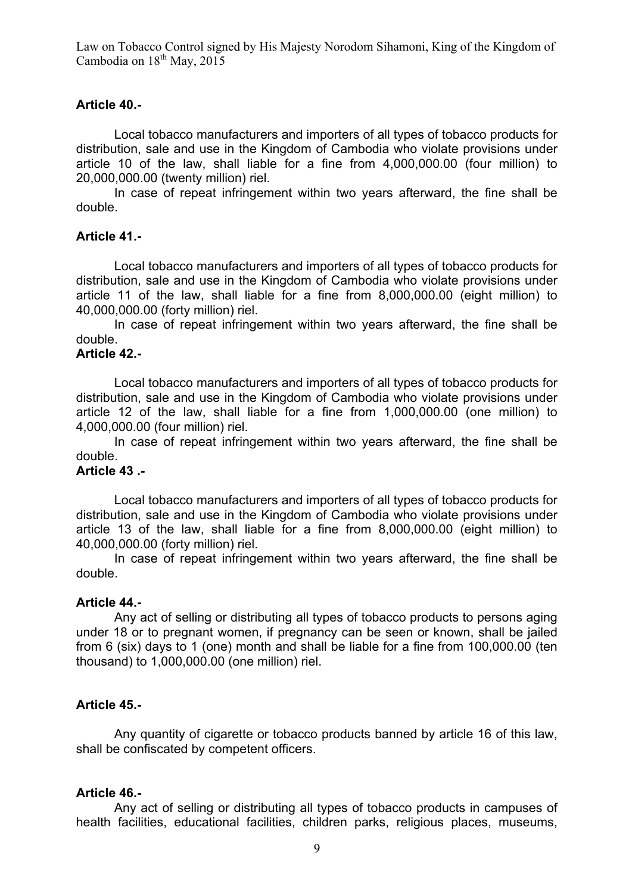## **Article 40.-**

Local tobacco manufacturers and importers of all types of tobacco products for distribution, sale and use in the Kingdom of Cambodia who violate provisions under article 10 of the law, shall liable for a fine from 4,000,000.00 (four million) to 20,000,000.00 (twenty million) riel.

In case of repeat infringement within two years afterward, the fine shall be double.

### **Article 41.-**

Local tobacco manufacturers and importers of all types of tobacco products for distribution, sale and use in the Kingdom of Cambodia who violate provisions under article 11 of the law, shall liable for a fine from 8,000,000.00 (eight million) to 40,000,000.00 (forty million) riel.

In case of repeat infringement within two years afterward, the fine shall be double.

# **Article 42.-**

Local tobacco manufacturers and importers of all types of tobacco products for distribution, sale and use in the Kingdom of Cambodia who violate provisions under article 12 of the law, shall liable for a fine from 1,000,000.00 (one million) to 4,000,000.00 (four million) riel.

In case of repeat infringement within two years afterward, the fine shall be double.

# **Article 43 .-**

Local tobacco manufacturers and importers of all types of tobacco products for distribution, sale and use in the Kingdom of Cambodia who violate provisions under article 13 of the law, shall liable for a fine from 8,000,000.00 (eight million) to 40,000,000.00 (forty million) riel.

In case of repeat infringement within two years afterward, the fine shall be double.

#### **Article 44.-**

Any act of selling or distributing all types of tobacco products to persons aging under 18 or to pregnant women, if pregnancy can be seen or known, shall be jailed from 6 (six) days to 1 (one) month and shall be liable for a fine from 100,000.00 (ten thousand) to 1,000,000.00 (one million) riel.

#### **Article 45.-**

Any quantity of cigarette or tobacco products banned by article 16 of this law, shall be confiscated by competent officers.

#### **Article 46.-**

Any act of selling or distributing all types of tobacco products in campuses of health facilities, educational facilities, children parks, religious places, museums,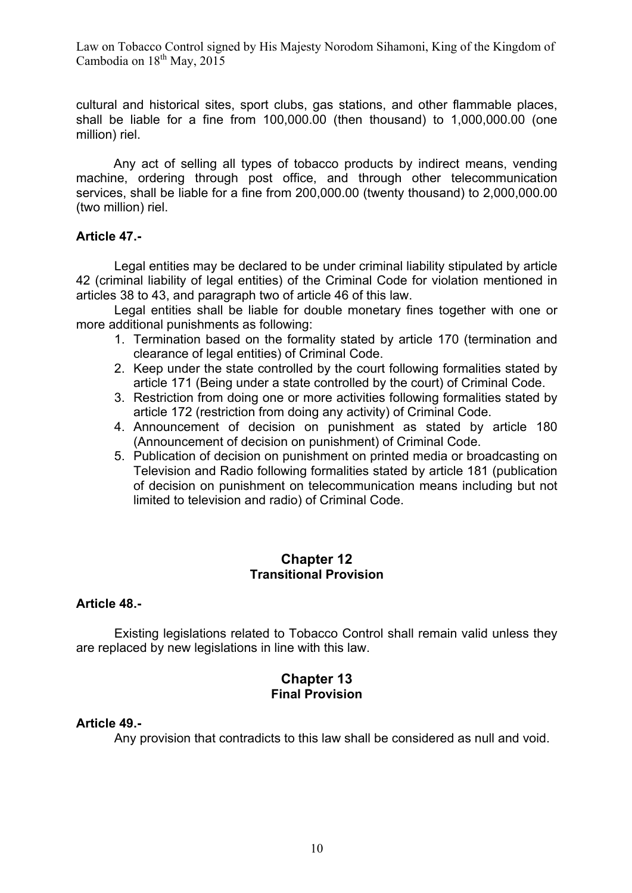cultural and historical sites, sport clubs, gas stations, and other flammable places, shall be liable for a fine from 100,000.00 (then thousand) to 1,000,000.00 (one million) riel.

Any act of selling all types of tobacco products by indirect means, vending machine, ordering through post office, and through other telecommunication services, shall be liable for a fine from 200,000.00 (twenty thousand) to 2,000,000.00 (two million) riel.

# **Article 47.-**

Legal entities may be declared to be under criminal liability stipulated by article 42 (criminal liability of legal entities) of the Criminal Code for violation mentioned in articles 38 to 43, and paragraph two of article 46 of this law.

Legal entities shall be liable for double monetary fines together with one or more additional punishments as following:

- 1. Termination based on the formality stated by article 170 (termination and clearance of legal entities) of Criminal Code.
- 2. Keep under the state controlled by the court following formalities stated by article 171 (Being under a state controlled by the court) of Criminal Code.
- 3. Restriction from doing one or more activities following formalities stated by article 172 (restriction from doing any activity) of Criminal Code.
- 4. Announcement of decision on punishment as stated by article 180 (Announcement of decision on punishment) of Criminal Code.
- 5. Publication of decision on punishment on printed media or broadcasting on Television and Radio following formalities stated by article 181 (publication of decision on punishment on telecommunication means including but not limited to television and radio) of Criminal Code.

# **Chapter 12 Transitional Provision**

#### **Article 48.-**

Existing legislations related to Tobacco Control shall remain valid unless they are replaced by new legislations in line with this law.

# **Chapter 13 Final Provision**

# **Article 49.-**

Any provision that contradicts to this law shall be considered as null and void.